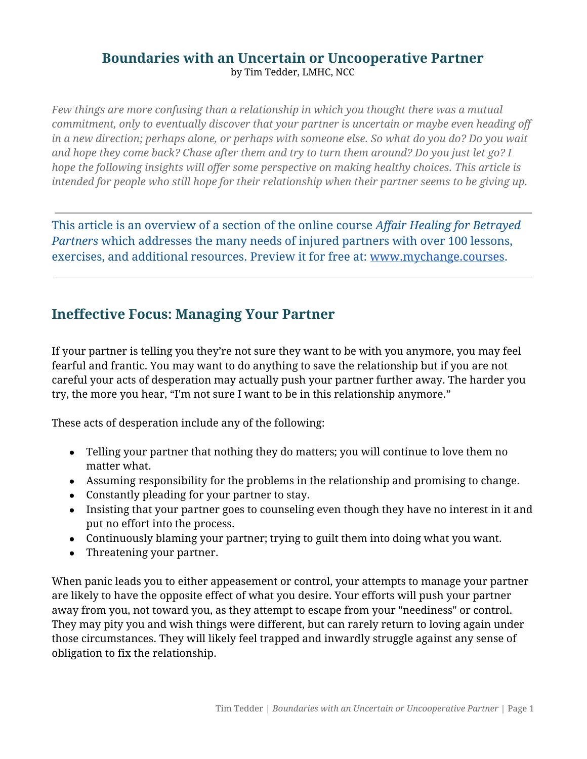### **Boundaries with an Uncertain or Uncooperative Partner** by Tim Tedder, LMHC, NCC

*Few things are more confusing than a relationship in which you thought there was a mutual commitment, only to eventually discover that your partner is uncertain or maybe even heading off in a new direction; perhaps alone, or perhaps with someone else. So what do you do? Do you wait and hope they come back? Chase after them and try to turn them around? Do you just let go? I hope the following insights will offer some perspective on making healthy choices. This article is intended for people who still hope for their relationship when their partner seems to be giving up.* 

This article is an overview of a section of the online course *Affair Healing for Betrayed Partners* which addresses the many needs of injured partners with over 100 lessons, exercises, and additional resources. Preview it for free at: [www.mychange.courses](https://www.mychange.courses/courses/healing1?ref=1aa954).

# **Ineffective Focus: Managing Your Partner**

If your partner is telling you they're not sure they want to be with you anymore, you may feel fearful and frantic. You may want to do anything to save the relationship but if you are not careful your acts of desperation may actually push your partner further away. The harder you try, the more you hear, "I'm not sure I want to be in this relationship anymore."

These acts of desperation include any of the following:

- Telling your partner that nothing they do matters; you will continue to love them no matter what.
- Assuming responsibility for the problems in the relationship and promising to change.
- Constantly pleading for your partner to stay.
- Insisting that your partner goes to counseling even though they have no interest in it and put no effort into the process.
- Continuously blaming your partner; trying to guilt them into doing what you want.
- Threatening your partner.

When panic leads you to either appeasement or control, your attempts to manage your partner are likely to have the opposite effect of what you desire. Your efforts will push your partner away from you, not toward you, as they attempt to escape from your "neediness" or control. They may pity you and wish things were different, but can rarely return to loving again under those circumstances. They will likely feel trapped and inwardly struggle against any sense of obligation to fix the relationship.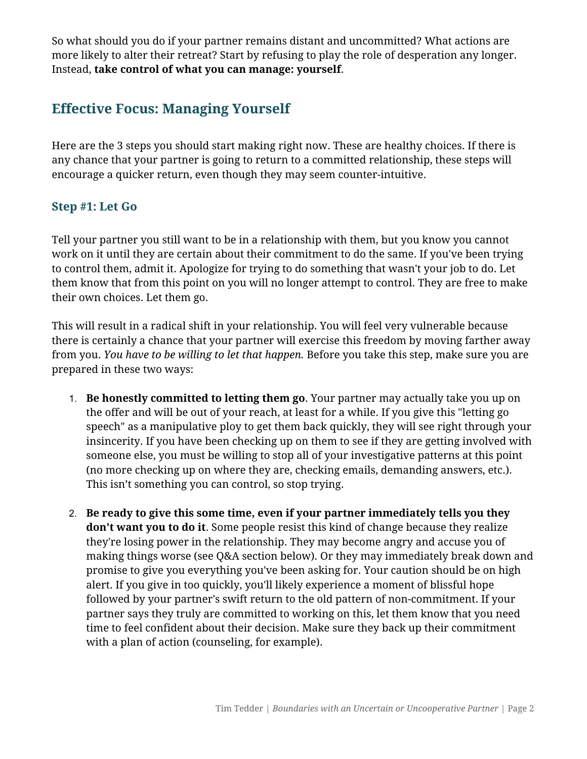So what should you do if your partner remains distant and uncommitted? What actions are more likely to alter their retreat? Start by refusing to play the role of desperation any longer. Instead, **take control of what you can manage: yourself**.

# **Effective Focus: Managing Yourself**

Here are the 3 steps you should start making right now. These are healthy choices. If there is any chance that your partner is going to return to a committed relationship, these steps will encourage a quicker return, even though they may seem counter-intuitive.

### **Step #1: Let Go**

Tell your partner you still want to be in a relationship with them, but you know you cannot work on it until they are certain about their commitment to do the same. If you've been trying to control them, admit it. Apologize for trying to do something that wasn't your job to do. Let them know that from this point on you will no longer attempt to control. They are free to make their own choices. Let them go.

This will result in a radical shift in your relationship. You will feel very vulnerable because there is certainly a chance that your partner will exercise this freedom by moving farther away from you. *You have to be willing to let that happen.* Before you take this step, make sure you are prepared in these two ways:

- 1. **Be honestly committed to letting them go**. Your partner may actually take you up on the offer and will be out of your reach, at least for a while. If you give this "letting go speech" as a manipulative ploy to get them back quickly, they will see right through your insincerity. If you have been checking up on them to see if they are getting involved with someone else, you must be willing to stop all of your investigative patterns at this point (no more checking up on where they are, checking emails, demanding answers, etc.). This isn't something you can control, so stop trying.
- 2. **Be ready to give this some time, even if your partner immediately tells you they don't want you to do it**. Some people resist this kind of change because they realize they're losing power in the relationship. They may become angry and accuse you of making things worse (see Q&A section below). Or they may immediately break down and promise to give you everything you've been asking for. Your caution should be on high alert. If you give in too quickly, you'll likely experience a moment of blissful hope followed by your partner's swift return to the old pattern of non-commitment. If your partner says they truly are committed to working on this, let them know that you need time to feel confident about their decision. Make sure they back up their commitment with a plan of action (counseling, for example).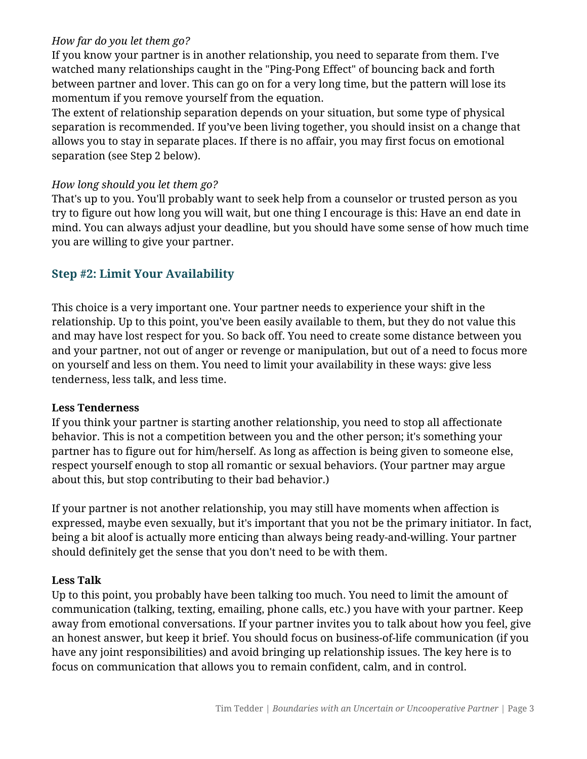#### *How far do you let them go?*

If you know your partner is in another relationship, you need to separate from them. I've watched many relationships caught in the "Ping-Pong Effect" of bouncing back and forth between partner and lover. This can go on for a very long time, but the pattern will lose its momentum if you remove yourself from the equation.

The extent of relationship separation depends on your situation, but some type of physical separation is recommended. If you've been living together, you should insist on a change that allows you to stay in separate places. If there is no affair, you may first focus on emotional separation (see Step 2 below).

#### *How long should you let them go?*

That's up to you. You'll probably want to seek help from a counselor or trusted person as you try to figure out how long you will wait, but one thing I encourage is this: Have an end date in mind. You can always adjust your deadline, but you should have some sense of how much time you are willing to give your partner.

## **Step #2: Limit Your Availability**

This choice is a very important one. Your partner needs to experience your shift in the relationship. Up to this point, you've been easily available to them, but they do not value this and may have lost respect for you. So back off. You need to create some distance between you and your partner, not out of anger or revenge or manipulation, but out of a need to focus more on yourself and less on them. You need to limit your availability in these ways: give less tenderness, less talk, and less time.

#### **Less Tenderness**

If you think your partner is starting another relationship, you need to stop all affectionate behavior. This is not a competition between you and the other person; it's something your partner has to figure out for him/herself. As long as affection is being given to someone else, respect yourself enough to stop all romantic or sexual behaviors. (Your partner may argue about this, but stop contributing to their bad behavior.)

If your partner is not another relationship, you may still have moments when affection is expressed, maybe even sexually, but it's important that you not be the primary initiator. In fact, being a bit aloof is actually more enticing than always being ready-and-willing. Your partner should definitely get the sense that you don't need to be with them.

#### **Less Talk**

Up to this point, you probably have been talking too much. You need to limit the amount of communication (talking, texting, emailing, phone calls, etc.) you have with your partner. Keep away from emotional conversations. If your partner invites you to talk about how you feel, give an honest answer, but keep it brief. You should focus on business-of-life communication (if you have any joint responsibilities) and avoid bringing up relationship issues. The key here is to focus on communication that allows you to remain confident, calm, and in control.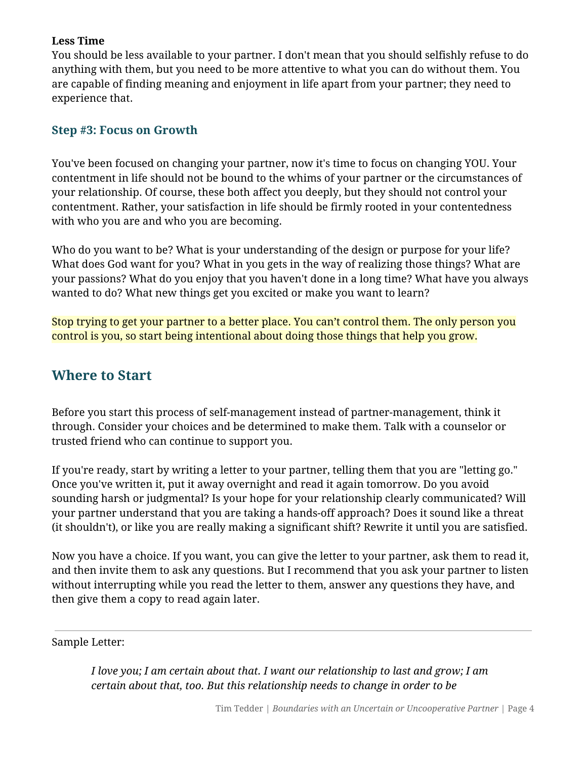#### **Less Time**

You should be less available to your partner. I don't mean that you should selfishly refuse to do anything with them, but you need to be more attentive to what you can do without them. You are capable of finding meaning and enjoyment in life apart from your partner; they need to experience that.

### **Step #3: Focus on Growth**

You've been focused on changing your partner, now it's time to focus on changing YOU. Your contentment in life should not be bound to the whims of your partner or the circumstances of your relationship. Of course, these both affect you deeply, but they should not control your contentment. Rather, your satisfaction in life should be firmly rooted in your contentedness with who you are and who you are becoming.

Who do you want to be? What is your understanding of the design or purpose for your life? What does God want for you? What in you gets in the way of realizing those things? What are your passions? What do you enjoy that you haven't done in a long time? What have you always wanted to do? What new things get you excited or make you want to learn?

Stop trying to get your partner to a better place. You can't control them. The only person you control is you, so start being intentional about doing those things that help you grow.

## **Where to Start**

Before you start this process of self-management instead of partner-management, think it through. Consider your choices and be determined to make them. Talk with a counselor or trusted friend who can continue to support you.

If you're ready, start by writing a letter to your partner, telling them that you are "letting go." Once you've written it, put it away overnight and read it again tomorrow. Do you avoid sounding harsh or judgmental? Is your hope for your relationship clearly communicated? Will your partner understand that you are taking a hands-off approach? Does it sound like a threat (it shouldn't), or like you are really making a significant shift? Rewrite it until you are satisfied.

Now you have a choice. If you want, you can give the letter to your partner, ask them to read it, and then invite them to ask any questions. But I recommend that you ask your partner to listen without interrupting while you read the letter to them, answer any questions they have, and then give them a copy to read again later.

Sample Letter:

*I love you; I am certain about that. I want our relationship to last and grow; I am certain about that, too. But this relationship needs to change in order to be*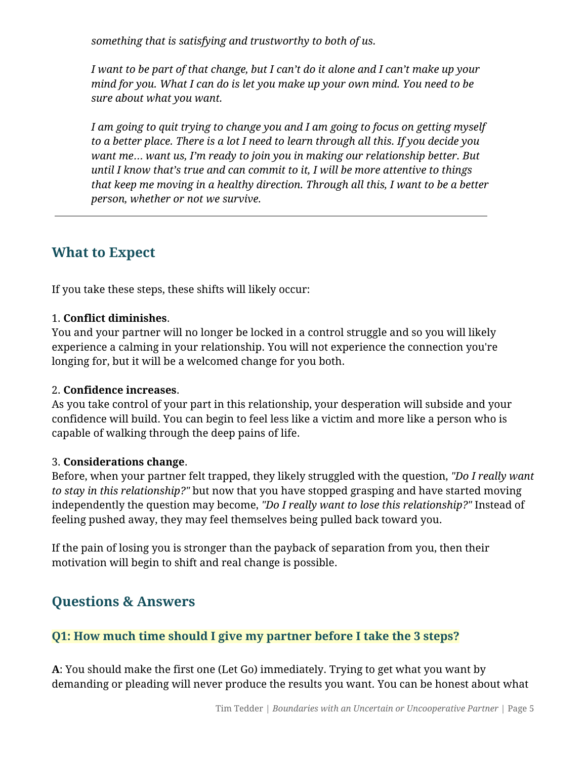*something that is satisfying and trustworthy to both of us.* 

*I want to be part of that change, but I can't do it alone and I can't make up your mind for you. What I can do is let you make up your own mind. You need to be sure about what you want.* 

*I am going to quit trying to change you and I am going to focus on getting myself to a better place. There is a lot I need to learn through all this. If you decide you want me*… *want us, I'm ready to join you in making our relationship better. But until I know that's true and can commit to it, I will be more attentive to things that keep me moving in a healthy direction. Through all this, I want to be a better person, whether or not we survive.* 

## **What to Expect**

If you take these steps, these shifts will likely occur:

#### 1. **Conflict diminishes**.

You and your partner will no longer be locked in a control struggle and so you will likely experience a calming in your relationship. You will not experience the connection you're longing for, but it will be a welcomed change for you both.

#### 2. **Confidence increases**.

As you take control of your part in this relationship, your desperation will subside and your confidence will build. You can begin to feel less like a victim and more like a person who is capable of walking through the deep pains of life.

#### 3. **Considerations change**.

Before, when your partner felt trapped, they likely struggled with the question, *"Do I really want to stay in this relationship?"* but now that you have stopped grasping and have started moving independently the question may become, *"Do I really want to lose this relationship?"* Instead of feeling pushed away, they may feel themselves being pulled back toward you.

If the pain of losing you is stronger than the payback of separation from you, then their motivation will begin to shift and real change is possible.

## **Questions & Answers**

## **Q1: How much time should I give my partner before I take the 3 steps?**

**A**: You should make the first one (Let Go) immediately. Trying to get what you want by demanding or pleading will never produce the results you want. You can be honest about what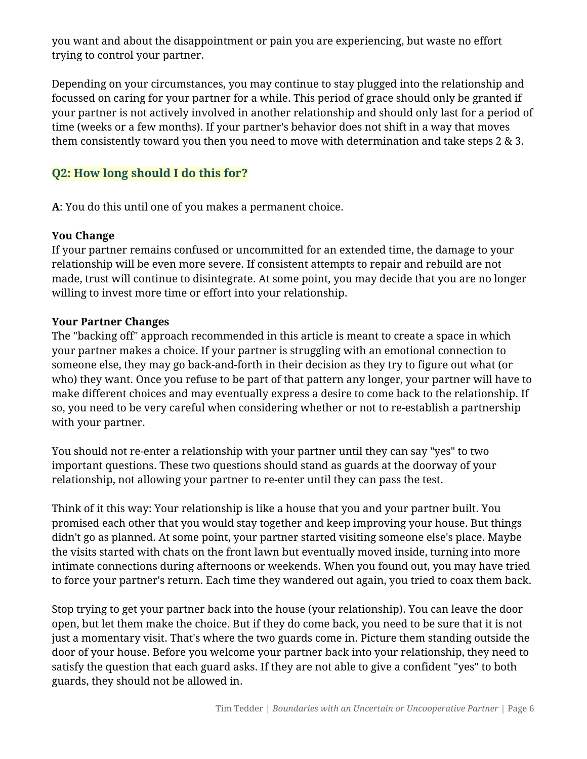you want and about the disappointment or pain you are experiencing, but waste no effort trying to control your partner.

Depending on your circumstances, you may continue to stay plugged into the relationship and focussed on caring for your partner for a while. This period of grace should only be granted if your partner is not actively involved in another relationship and should only last for a period of time (weeks or a few months). If your partner's behavior does not shift in a way that moves them consistently toward you then you need to move with determination and take steps 2 & 3.

## **Q2: How long should I do this for?**

**A**: You do this until one of you makes a permanent choice.

#### **You Change**

If your partner remains confused or uncommitted for an extended time, the damage to your relationship will be even more severe. If consistent attempts to repair and rebuild are not made, trust will continue to disintegrate. At some point, you may decide that you are no longer willing to invest more time or effort into your relationship.

#### **Your Partner Changes**

The "backing off" approach recommended in this article is meant to create a space in which your partner makes a choice. If your partner is struggling with an emotional connection to someone else, they may go back-and-forth in their decision as they try to figure out what (or who) they want. Once you refuse to be part of that pattern any longer, your partner will have to make different choices and may eventually express a desire to come back to the relationship. If so, you need to be very careful when considering whether or not to re-establish a partnership with your partner.

You should not re-enter a relationship with your partner until they can say "yes" to two important questions. These two questions should stand as guards at the doorway of your relationship, not allowing your partner to re-enter until they can pass the test.

Think of it this way: Your relationship is like a house that you and your partner built. You promised each other that you would stay together and keep improving your house. But things didn't go as planned. At some point, your partner started visiting someone else's place. Maybe the visits started with chats on the front lawn but eventually moved inside, turning into more intimate connections during afternoons or weekends. When you found out, you may have tried to force your partner's return. Each time they wandered out again, you tried to coax them back.

Stop trying to get your partner back into the house (your relationship). You can leave the door open, but let them make the choice. But if they do come back, you need to be sure that it is not just a momentary visit. That's where the two guards come in. Picture them standing outside the door of your house. Before you welcome your partner back into your relationship, they need to satisfy the question that each guard asks. If they are not able to give a confident "yes" to both guards, they should not be allowed in.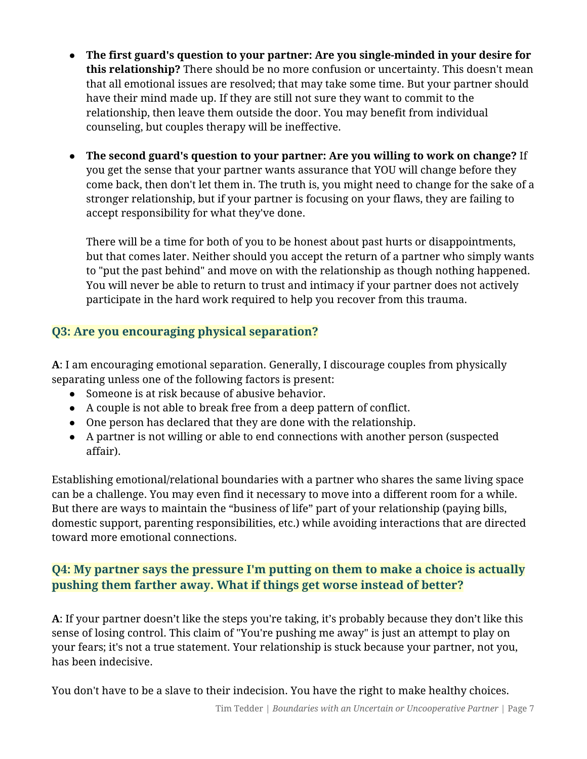- **The first guard's question to your partner: Are you single-minded in your desire for this relationship?** There should be no more confusion or uncertainty. This doesn't mean that all emotional issues are resolved; that may take some time. But your partner should have their mind made up. If they are still not sure they want to commit to the relationship, then leave them outside the door. You may benefit from individual counseling, but couples therapy will be ineffective.
- **The second guard's question to your partner: Are you willing to work on change?** If you get the sense that your partner wants assurance that YOU will change before they come back, then don't let them in. The truth is, you might need to change for the sake of a stronger relationship, but if your partner is focusing on your flaws, they are failing to accept responsibility for what they've done.

There will be a time for both of you to be honest about past hurts or disappointments, but that comes later. Neither should you accept the return of a partner who simply wants to "put the past behind" and move on with the relationship as though nothing happened. You will never be able to return to trust and intimacy if your partner does not actively participate in the hard work required to help you recover from this trauma.

## **Q3: Are you encouraging physical separation?**

**A**: I am encouraging emotional separation. Generally, I discourage couples from physically separating unless one of the following factors is present:

- Someone is at risk because of abusive behavior.
- A couple is not able to break free from a deep pattern of conflict.
- One person has declared that they are done with the relationship.
- A partner is not willing or able to end connections with another person (suspected affair).

Establishing emotional/relational boundaries with a partner who shares the same living space can be a challenge. You may even find it necessary to move into a different room for a while. But there are ways to maintain the "business of life" part of your relationship (paying bills, domestic support, parenting responsibilities, etc.) while avoiding interactions that are directed toward more emotional connections.

## **Q4: My partner says the pressure I'm putting on them to make a choice is actually pushing them farther away. What if things get worse instead of better?**

**A**: If your partner doesn't like the steps you're taking, it's probably because they don't like this sense of losing control. This claim of "You're pushing me away" is just an attempt to play on your fears; it's not a true statement. Your relationship is stuck because your partner, not you, has been indecisive.

You don't have to be a slave to their indecision. You have the right to make healthy choices.